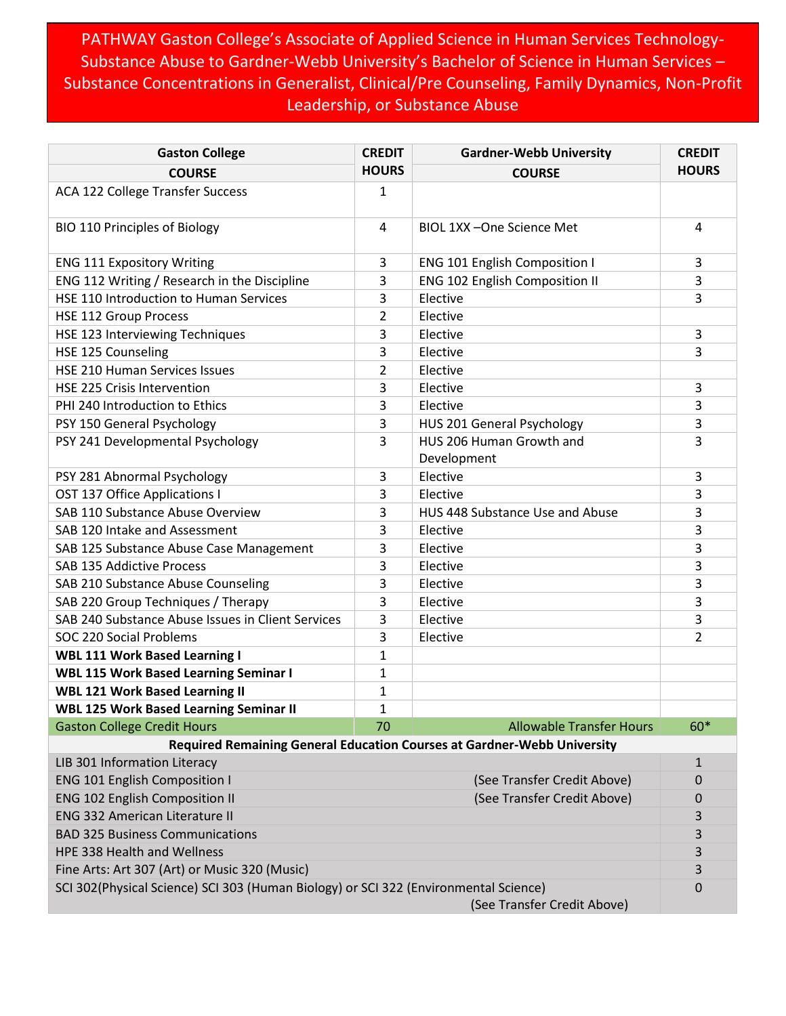## PATHWAY Gaston College's Associate of Applied Science in Human Services Technology-Substance Abuse to Gardner-Webb University's Bachelor of Science in Human Services – Substance Concentrations in Generalist, Clinical/Pre Counseling, Family Dynamics, Non-Profit Leadership, or Substance Abuse

| <b>Gaston College</b>                                                                                               | <b>CREDIT</b> | <b>Gardner-Webb University</b>          | <b>CREDIT</b> |  |
|---------------------------------------------------------------------------------------------------------------------|---------------|-----------------------------------------|---------------|--|
| <b>COURSE</b>                                                                                                       | <b>HOURS</b>  | <b>COURSE</b>                           | <b>HOURS</b>  |  |
| ACA 122 College Transfer Success                                                                                    | 1             |                                         |               |  |
| <b>BIO 110 Principles of Biology</b>                                                                                | 4             | BIOL 1XX-One Science Met                | 4             |  |
| <b>ENG 111 Expository Writing</b>                                                                                   | 3             | ENG 101 English Composition I           | 3             |  |
| ENG 112 Writing / Research in the Discipline                                                                        | 3             | ENG 102 English Composition II          | 3             |  |
| HSE 110 Introduction to Human Services                                                                              | 3             | Elective                                | 3             |  |
| <b>HSE 112 Group Process</b>                                                                                        | 2             | Elective                                |               |  |
| HSE 123 Interviewing Techniques                                                                                     | 3             | Elective                                | 3             |  |
| HSE 125 Counseling                                                                                                  | 3             | Elective                                | 3             |  |
| HSE 210 Human Services Issues                                                                                       | 2             | Elective                                |               |  |
| HSE 225 Crisis Intervention                                                                                         | 3             | Elective                                | 3             |  |
| PHI 240 Introduction to Ethics                                                                                      | 3             | Elective                                | 3             |  |
| PSY 150 General Psychology                                                                                          | 3             | HUS 201 General Psychology              | 3             |  |
| PSY 241 Developmental Psychology                                                                                    | 3             | HUS 206 Human Growth and<br>Development | 3             |  |
| PSY 281 Abnormal Psychology                                                                                         | 3             | Elective                                | 3             |  |
| OST 137 Office Applications I                                                                                       | 3             | Elective                                | 3             |  |
| SAB 110 Substance Abuse Overview                                                                                    | 3             | HUS 448 Substance Use and Abuse         | 3             |  |
| SAB 120 Intake and Assessment                                                                                       | 3             | Elective                                | 3             |  |
| SAB 125 Substance Abuse Case Management                                                                             | 3             | Elective                                | 3             |  |
| SAB 135 Addictive Process                                                                                           | 3             | Elective                                | 3             |  |
| SAB 210 Substance Abuse Counseling                                                                                  | 3             | Elective                                | 3             |  |
| SAB 220 Group Techniques / Therapy                                                                                  | 3             | Elective                                | 3             |  |
| SAB 240 Substance Abuse Issues in Client Services                                                                   | 3             | Elective                                | 3             |  |
| SOC 220 Social Problems                                                                                             | 3             | Elective                                | 2             |  |
| <b>WBL 111 Work Based Learning I</b>                                                                                | 1             |                                         |               |  |
| <b>WBL 115 Work Based Learning Seminar I</b>                                                                        | 1             |                                         |               |  |
| <b>WBL 121 Work Based Learning II</b>                                                                               | 1             |                                         |               |  |
| <b>WBL 125 Work Based Learning Seminar II</b>                                                                       | $\mathbf{1}$  |                                         |               |  |
| <b>Gaston College Credit Hours</b>                                                                                  | 70            | <b>Allowable Transfer Hours</b>         | $60*$         |  |
| Required Remaining General Education Courses at Gardner-Webb University                                             |               |                                         |               |  |
| LIB 301 Information Literacy                                                                                        |               |                                         | $\mathbf{1}$  |  |
| <b>ENG 101 English Composition I</b>                                                                                |               | (See Transfer Credit Above)             | 0             |  |
| <b>ENG 102 English Composition II</b>                                                                               |               | (See Transfer Credit Above)             |               |  |
| <b>ENG 332 American Literature II</b>                                                                               |               |                                         | 3             |  |
| <b>BAD 325 Business Communications</b>                                                                              |               |                                         | 3             |  |
| HPE 338 Health and Wellness                                                                                         |               |                                         | 3             |  |
| Fine Arts: Art 307 (Art) or Music 320 (Music)                                                                       |               |                                         | 3             |  |
| SCI 302(Physical Science) SCI 303 (Human Biology) or SCI 322 (Environmental Science)<br>(See Transfer Credit Above) |               |                                         | 0             |  |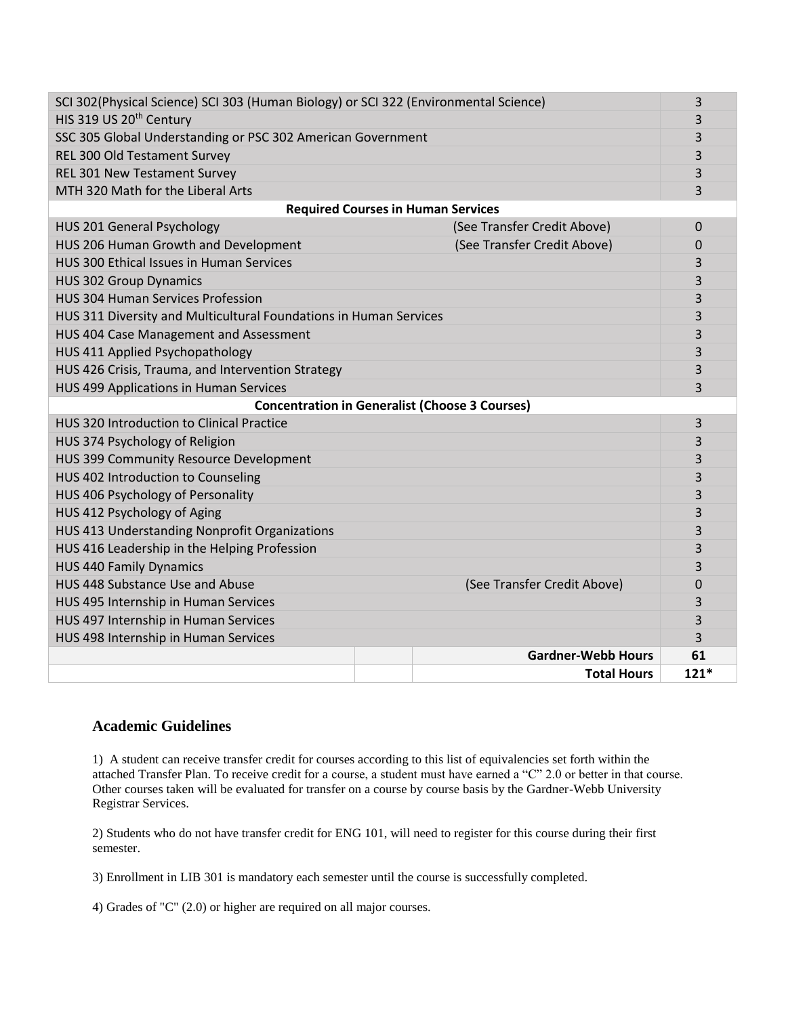| SCI 302(Physical Science) SCI 303 (Human Biology) or SCI 322 (Environmental Science) |  |                             | 3        |  |  |
|--------------------------------------------------------------------------------------|--|-----------------------------|----------|--|--|
| HIS 319 US 20 <sup>th</sup> Century                                                  |  |                             | 3        |  |  |
| SSC 305 Global Understanding or PSC 302 American Government                          |  |                             | 3        |  |  |
| REL 300 Old Testament Survey                                                         |  |                             | 3        |  |  |
| REL 301 New Testament Survey                                                         |  |                             | 3        |  |  |
| MTH 320 Math for the Liberal Arts                                                    |  |                             | 3        |  |  |
| <b>Required Courses in Human Services</b>                                            |  |                             |          |  |  |
| HUS 201 General Psychology                                                           |  | (See Transfer Credit Above) | $\Omega$ |  |  |
| HUS 206 Human Growth and Development                                                 |  | (See Transfer Credit Above) | 0        |  |  |
| HUS 300 Ethical Issues in Human Services                                             |  |                             | 3        |  |  |
| <b>HUS 302 Group Dynamics</b>                                                        |  |                             | 3        |  |  |
| <b>HUS 304 Human Services Profession</b>                                             |  |                             | 3        |  |  |
| HUS 311 Diversity and Multicultural Foundations in Human Services                    |  |                             | 3        |  |  |
| HUS 404 Case Management and Assessment                                               |  |                             | 3        |  |  |
| HUS 411 Applied Psychopathology                                                      |  |                             | 3        |  |  |
| HUS 426 Crisis, Trauma, and Intervention Strategy                                    |  |                             | 3        |  |  |
| HUS 499 Applications in Human Services                                               |  |                             | 3        |  |  |
| <b>Concentration in Generalist (Choose 3 Courses)</b>                                |  |                             |          |  |  |
| HUS 320 Introduction to Clinical Practice                                            |  |                             | 3        |  |  |
| HUS 374 Psychology of Religion                                                       |  |                             | 3        |  |  |
| HUS 399 Community Resource Development                                               |  |                             | 3        |  |  |
| HUS 402 Introduction to Counseling                                                   |  |                             | 3        |  |  |
| HUS 406 Psychology of Personality                                                    |  |                             | 3        |  |  |
| HUS 412 Psychology of Aging                                                          |  |                             | 3        |  |  |
| HUS 413 Understanding Nonprofit Organizations                                        |  |                             | 3        |  |  |
| HUS 416 Leadership in the Helping Profession                                         |  |                             | 3        |  |  |
| <b>HUS 440 Family Dynamics</b>                                                       |  |                             | 3        |  |  |
| HUS 448 Substance Use and Abuse                                                      |  | (See Transfer Credit Above) | 0        |  |  |
| HUS 495 Internship in Human Services                                                 |  |                             | 3        |  |  |
| HUS 497 Internship in Human Services                                                 |  |                             | 3        |  |  |
| HUS 498 Internship in Human Services                                                 |  |                             | 3        |  |  |
|                                                                                      |  | <b>Gardner-Webb Hours</b>   | 61       |  |  |
|                                                                                      |  | <b>Total Hours</b>          | $121*$   |  |  |
|                                                                                      |  |                             |          |  |  |

## **Academic Guidelines**

1) A student can receive transfer credit for courses according to this list of equivalencies set forth within the attached Transfer Plan. To receive credit for a course, a student must have earned a "C" 2.0 or better in that course. Other courses taken will be evaluated for transfer on a course by course basis by the Gardner-Webb University Registrar Services.

2) Students who do not have transfer credit for ENG 101, will need to register for this course during their first semester.

3) Enrollment in LIB 301 is mandatory each semester until the course is successfully completed.

4) Grades of "C" (2.0) or higher are required on all major courses.